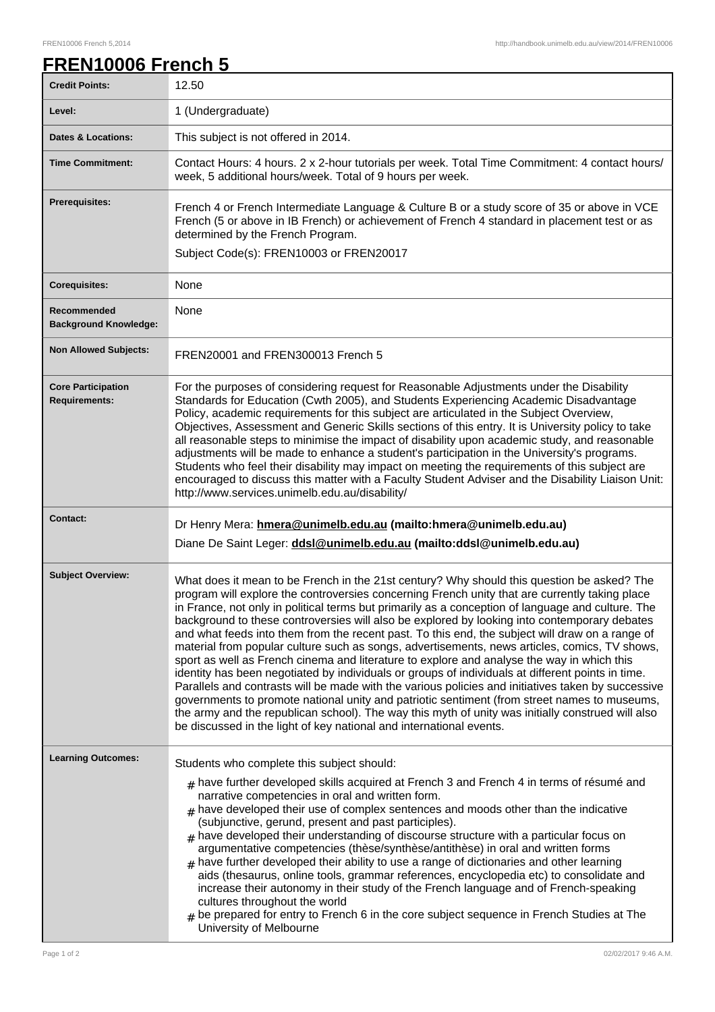## **FREN10006 French 5**

| <b>Credit Points:</b>                             | 12.50                                                                                                                                                                                                                                                                                                                                                                                                                                                                                                                                                                                                                                                                                                                                                                                                                                                                                                                                                                                                                                                                                                                                                                                      |
|---------------------------------------------------|--------------------------------------------------------------------------------------------------------------------------------------------------------------------------------------------------------------------------------------------------------------------------------------------------------------------------------------------------------------------------------------------------------------------------------------------------------------------------------------------------------------------------------------------------------------------------------------------------------------------------------------------------------------------------------------------------------------------------------------------------------------------------------------------------------------------------------------------------------------------------------------------------------------------------------------------------------------------------------------------------------------------------------------------------------------------------------------------------------------------------------------------------------------------------------------------|
| Level:                                            | 1 (Undergraduate)                                                                                                                                                                                                                                                                                                                                                                                                                                                                                                                                                                                                                                                                                                                                                                                                                                                                                                                                                                                                                                                                                                                                                                          |
| <b>Dates &amp; Locations:</b>                     | This subject is not offered in 2014.                                                                                                                                                                                                                                                                                                                                                                                                                                                                                                                                                                                                                                                                                                                                                                                                                                                                                                                                                                                                                                                                                                                                                       |
| <b>Time Commitment:</b>                           | Contact Hours: 4 hours. 2 x 2-hour tutorials per week. Total Time Commitment: 4 contact hours/<br>week, 5 additional hours/week. Total of 9 hours per week.                                                                                                                                                                                                                                                                                                                                                                                                                                                                                                                                                                                                                                                                                                                                                                                                                                                                                                                                                                                                                                |
| <b>Prerequisites:</b>                             | French 4 or French Intermediate Language & Culture B or a study score of 35 or above in VCE<br>French (5 or above in IB French) or achievement of French 4 standard in placement test or as<br>determined by the French Program.<br>Subject Code(s): FREN10003 or FREN20017                                                                                                                                                                                                                                                                                                                                                                                                                                                                                                                                                                                                                                                                                                                                                                                                                                                                                                                |
| <b>Corequisites:</b>                              | None                                                                                                                                                                                                                                                                                                                                                                                                                                                                                                                                                                                                                                                                                                                                                                                                                                                                                                                                                                                                                                                                                                                                                                                       |
| Recommended<br><b>Background Knowledge:</b>       | None                                                                                                                                                                                                                                                                                                                                                                                                                                                                                                                                                                                                                                                                                                                                                                                                                                                                                                                                                                                                                                                                                                                                                                                       |
| <b>Non Allowed Subjects:</b>                      | FREN20001 and FREN300013 French 5                                                                                                                                                                                                                                                                                                                                                                                                                                                                                                                                                                                                                                                                                                                                                                                                                                                                                                                                                                                                                                                                                                                                                          |
| <b>Core Participation</b><br><b>Requirements:</b> | For the purposes of considering request for Reasonable Adjustments under the Disability<br>Standards for Education (Cwth 2005), and Students Experiencing Academic Disadvantage<br>Policy, academic requirements for this subject are articulated in the Subject Overview,<br>Objectives, Assessment and Generic Skills sections of this entry. It is University policy to take<br>all reasonable steps to minimise the impact of disability upon academic study, and reasonable<br>adjustments will be made to enhance a student's participation in the University's programs.<br>Students who feel their disability may impact on meeting the requirements of this subject are<br>encouraged to discuss this matter with a Faculty Student Adviser and the Disability Liaison Unit:<br>http://www.services.unimelb.edu.au/disability/                                                                                                                                                                                                                                                                                                                                                    |
| <b>Contact:</b>                                   | Dr Henry Mera: hmera@unimelb.edu.au (mailto:hmera@unimelb.edu.au)<br>Diane De Saint Leger: ddsl@unimelb.edu.au (mailto:ddsl@unimelb.edu.au)                                                                                                                                                                                                                                                                                                                                                                                                                                                                                                                                                                                                                                                                                                                                                                                                                                                                                                                                                                                                                                                |
| <b>Subject Overview:</b>                          | What does it mean to be French in the 21st century? Why should this question be asked? The<br>program will explore the controversies concerning French unity that are currently taking place<br>in France, not only in political terms but primarily as a conception of language and culture. The<br>background to these controversies will also be explored by looking into contemporary debates<br>and what feeds into them from the recent past. To this end, the subject will draw on a range of<br>material from popular culture such as songs, advertisements, news articles, comics, TV shows,<br>sport as well as French cinema and literature to explore and analyse the way in which this<br>identity has been negotiated by individuals or groups of individuals at different points in time.<br>Parallels and contrasts will be made with the various policies and initiatives taken by successive<br>governments to promote national unity and patriotic sentiment (from street names to museums,<br>the army and the republican school). The way this myth of unity was initially construed will also<br>be discussed in the light of key national and international events. |
| <b>Learning Outcomes:</b>                         | Students who complete this subject should:<br>$_{\#}$ have further developed skills acquired at French 3 and French 4 in terms of résumé and<br>narrative competencies in oral and written form.<br>$#$ have developed their use of complex sentences and moods other than the indicative<br>(subjunctive, gerund, present and past participles).<br>$_{\#}$ have developed their understanding of discourse structure with a particular focus on<br>argumentative competencies (thèse/synthèse/antithèse) in oral and written forms<br>$#$ have further developed their ability to use a range of dictionaries and other learning<br>aids (thesaurus, online tools, grammar references, encyclopedia etc) to consolidate and<br>increase their autonomy in their study of the French language and of French-speaking<br>cultures throughout the world<br>$*$ be prepared for entry to French 6 in the core subject sequence in French Studies at The<br>University of Melbourne                                                                                                                                                                                                           |